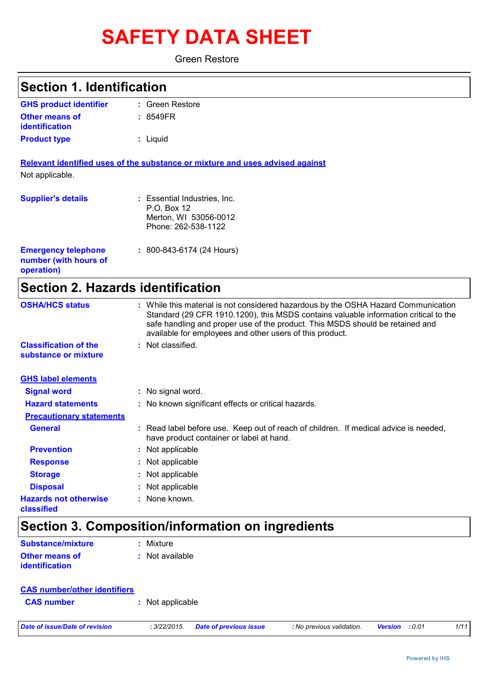# **SAFETY DATA SHEET**

Green Restore

| <b>Section 1. Identification</b>                                  |                                                                                                                                                                                                                                                                                                                         |
|-------------------------------------------------------------------|-------------------------------------------------------------------------------------------------------------------------------------------------------------------------------------------------------------------------------------------------------------------------------------------------------------------------|
| <b>GHS product identifier</b>                                     | : Green Restore                                                                                                                                                                                                                                                                                                         |
| <b>Other means of</b><br><b>identification</b>                    | : 8549FR                                                                                                                                                                                                                                                                                                                |
| <b>Product type</b>                                               | : Liquid                                                                                                                                                                                                                                                                                                                |
|                                                                   | Relevant identified uses of the substance or mixture and uses advised against                                                                                                                                                                                                                                           |
| Not applicable.                                                   |                                                                                                                                                                                                                                                                                                                         |
| <b>Supplier's details</b>                                         | : Essential Industries, Inc.<br>P.O. Box 12<br>Merton, WI 53056-0012<br>Phone: 262-538-1122                                                                                                                                                                                                                             |
| <b>Emergency telephone</b><br>number (with hours of<br>operation) | : 800-843-6174 (24 Hours)                                                                                                                                                                                                                                                                                               |
| <b>Section 2. Hazards identification</b>                          |                                                                                                                                                                                                                                                                                                                         |
| <b>OSHA/HCS status</b>                                            | : While this material is not considered hazardous by the OSHA Hazard Communication<br>Standard (29 CFR 1910.1200), this MSDS contains valuable information critical to the<br>safe handling and proper use of the product. This MSDS should be retained and<br>available for employees and other users of this product. |
| <b>Classification of the</b><br>substance or mixture              | : Not classified.                                                                                                                                                                                                                                                                                                       |
| <b>GHS label elements</b>                                         |                                                                                                                                                                                                                                                                                                                         |
| <b>Signal word</b>                                                | : No signal word.                                                                                                                                                                                                                                                                                                       |
| <b>Hazard statements</b>                                          | No known significant effects or critical hazards.                                                                                                                                                                                                                                                                       |

| <b>Signal word</b>                         | : No signal word.                                                                                                                |
|--------------------------------------------|----------------------------------------------------------------------------------------------------------------------------------|
| <b>Hazard statements</b>                   | : No known significant effects or critical hazards.                                                                              |
| <b>Precautionary statements</b>            |                                                                                                                                  |
| <b>General</b>                             | : Read label before use. Keep out of reach of children. If medical advice is needed,<br>have product container or label at hand. |
| <b>Prevention</b>                          | : Not applicable                                                                                                                 |
| <b>Response</b>                            | : Not applicable                                                                                                                 |
| <b>Storage</b>                             | : Not applicable                                                                                                                 |
| <b>Disposal</b>                            | : Not applicable                                                                                                                 |
| <b>Hazards not otherwise</b><br>classified | $:$ None known.                                                                                                                  |

### **Section 3. Composition/information on ingredients**

| <b>Substance/mixture</b>                       | : Mixture         |
|------------------------------------------------|-------------------|
| <b>Other means of</b><br><i>identification</i> | $:$ Not available |

| <b>CAS number/other identifiers</b> |                  |                               |                           |         |                |  |
|-------------------------------------|------------------|-------------------------------|---------------------------|---------|----------------|--|
| <b>CAS number</b>                   | : Not applicable |                               |                           |         |                |  |
| Date of issue/Date of revision      | : 3/22/2015.     | <b>Date of previous issue</b> | : No previous validation. | Version | 1/11<br>: 0.01 |  |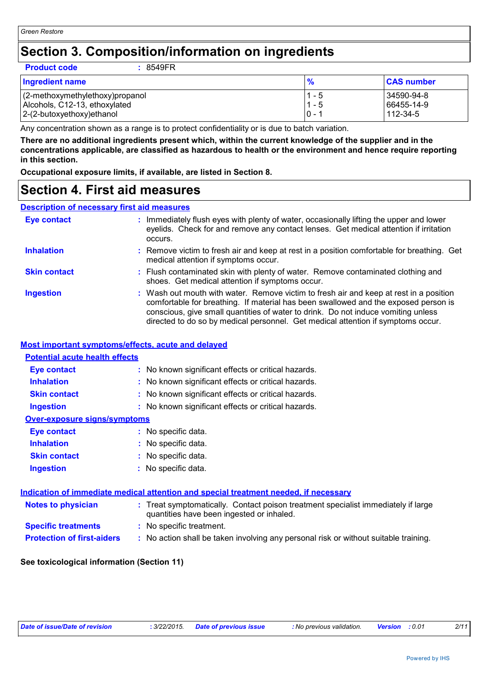### **Section 3. Composition/information on ingredients**

| <b>Product code</b><br>: 8549FR |               |                   |
|---------------------------------|---------------|-------------------|
| <b>Ingredient name</b>          | $\frac{9}{6}$ | <b>CAS number</b> |
| (2-methoxymethylethoxy)propanol | 1 - 5         | 34590-94-8        |
| Alcohols, C12-13, ethoxylated   | $1 - 5$       | 66455-14-9        |
| 2-(2-butoxyethoxy)ethanol       | $ 0 - 1 $     | $112 - 34 - 5$    |

Any concentration shown as a range is to protect confidentiality or is due to batch variation.

**There are no additional ingredients present which, within the current knowledge of the supplier and in the concentrations applicable, are classified as hazardous to health or the environment and hence require reporting in this section.**

**Occupational exposure limits, if available, are listed in Section 8.**

### **Section 4. First aid measures**

#### **Description of necessary first aid measures**

| <b>Eye contact</b>  | : Immediately flush eyes with plenty of water, occasionally lifting the upper and lower<br>eyelids. Check for and remove any contact lenses. Get medical attention if irritation<br>occurs.                                                                                                                                                            |
|---------------------|--------------------------------------------------------------------------------------------------------------------------------------------------------------------------------------------------------------------------------------------------------------------------------------------------------------------------------------------------------|
| <b>Inhalation</b>   | : Remove victim to fresh air and keep at rest in a position comfortable for breathing. Get<br>medical attention if symptoms occur.                                                                                                                                                                                                                     |
| <b>Skin contact</b> | : Flush contaminated skin with plenty of water. Remove contaminated clothing and<br>shoes. Get medical attention if symptoms occur.                                                                                                                                                                                                                    |
| <b>Ingestion</b>    | : Wash out mouth with water. Remove victim to fresh air and keep at rest in a position<br>comfortable for breathing. If material has been swallowed and the exposed person is<br>conscious, give small quantities of water to drink. Do not induce vomiting unless<br>directed to do so by medical personnel. Get medical attention if symptoms occur. |

#### **Most important symptoms/effects, acute and delayed**

#### **Protection of first-aiders** : No action shall be taken involving any personal risk or without suitable training. **Notes to physician <b>:** Treat symptomatically. Contact poison treatment specialist immediately if large quantities have been ingested or inhaled. **Specific treatments :** No specific treatment. **Inhalation :** No known significant effects or critical hazards. **Ingestion :** No known significant effects or critical hazards. **Skin contact :** No known significant effects or critical hazards. **Eye contact :** No known significant effects or critical hazards. **Over-exposure signs/symptoms Skin contact Ingestion Inhalation :** No specific data. No specific data. **:** No specific data. **: Eye contact :** No specific data. **Potential acute health effects Indication of immediate medical attention and special treatment needed, if necessary**

#### **See toxicological information (Section 11)**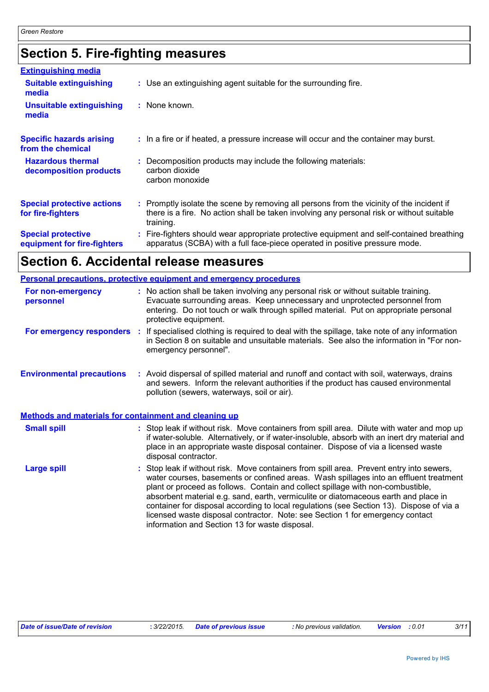### **Section 5. Fire-fighting measures**

| <b>Extinguishing media</b>                               |                                                                                                                                                                                                     |
|----------------------------------------------------------|-----------------------------------------------------------------------------------------------------------------------------------------------------------------------------------------------------|
| <b>Suitable extinguishing</b><br>media                   | : Use an extinguishing agent suitable for the surrounding fire.                                                                                                                                     |
| <b>Unsuitable extinguishing</b><br>media                 | : None known.                                                                                                                                                                                       |
| <b>Specific hazards arising</b><br>from the chemical     | : In a fire or if heated, a pressure increase will occur and the container may burst.                                                                                                               |
| <b>Hazardous thermal</b><br>decomposition products       | Decomposition products may include the following materials:<br>carbon dioxide<br>carbon monoxide                                                                                                    |
| <b>Special protective actions</b><br>for fire-fighters   | : Promptly isolate the scene by removing all persons from the vicinity of the incident if<br>there is a fire. No action shall be taken involving any personal risk or without suitable<br>training. |
| <b>Special protective</b><br>equipment for fire-fighters | : Fire-fighters should wear appropriate protective equipment and self-contained breathing<br>apparatus (SCBA) with a full face-piece operated in positive pressure mode.                            |

### **Section 6. Accidental release measures**

|                                                       | <b>Personal precautions, protective equipment and emergency procedures</b>                                                                                                                                                                                                                                                                                                                                                                                                                                                                                                               |
|-------------------------------------------------------|------------------------------------------------------------------------------------------------------------------------------------------------------------------------------------------------------------------------------------------------------------------------------------------------------------------------------------------------------------------------------------------------------------------------------------------------------------------------------------------------------------------------------------------------------------------------------------------|
| For non-emergency<br>personnel                        | : No action shall be taken involving any personal risk or without suitable training.<br>Evacuate surrounding areas. Keep unnecessary and unprotected personnel from<br>entering. Do not touch or walk through spilled material. Put on appropriate personal<br>protective equipment.                                                                                                                                                                                                                                                                                                     |
| For emergency responders :                            | If specialised clothing is required to deal with the spillage, take note of any information<br>in Section 8 on suitable and unsuitable materials. See also the information in "For non-<br>emergency personnel".                                                                                                                                                                                                                                                                                                                                                                         |
| <b>Environmental precautions</b>                      | : Avoid dispersal of spilled material and runoff and contact with soil, waterways, drains<br>and sewers. Inform the relevant authorities if the product has caused environmental<br>pollution (sewers, waterways, soil or air).                                                                                                                                                                                                                                                                                                                                                          |
| Methods and materials for containment and cleaning up |                                                                                                                                                                                                                                                                                                                                                                                                                                                                                                                                                                                          |
| <b>Small spill</b>                                    | Stop leak if without risk. Move containers from spill area. Dilute with water and mop up<br>t.<br>if water-soluble. Alternatively, or if water-insoluble, absorb with an inert dry material and<br>place in an appropriate waste disposal container. Dispose of via a licensed waste<br>disposal contractor.                                                                                                                                                                                                                                                                             |
| <b>Large spill</b>                                    | Stop leak if without risk. Move containers from spill area. Prevent entry into sewers,<br>water courses, basements or confined areas. Wash spillages into an effluent treatment<br>plant or proceed as follows. Contain and collect spillage with non-combustible,<br>absorbent material e.g. sand, earth, vermiculite or diatomaceous earth and place in<br>container for disposal according to local regulations (see Section 13). Dispose of via a<br>licensed waste disposal contractor. Note: see Section 1 for emergency contact<br>information and Section 13 for waste disposal. |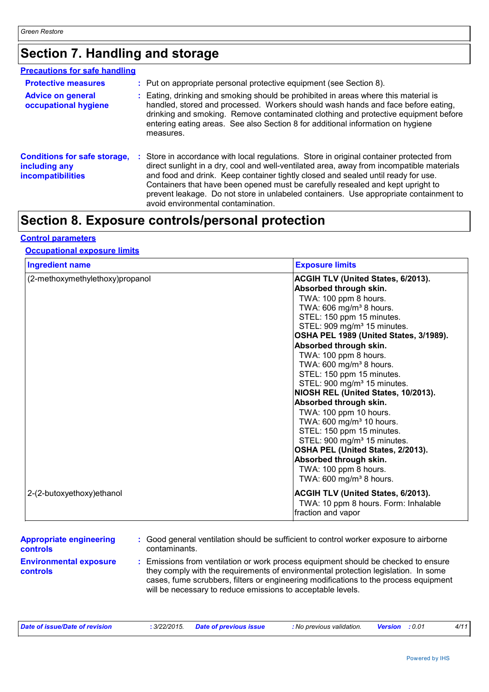### **Section 7. Handling and storage**

| <b>Precautions for safe handling</b>                                      |    |                                                                                                                                                                                                                                                                                                                                                                                                                                                                                            |
|---------------------------------------------------------------------------|----|--------------------------------------------------------------------------------------------------------------------------------------------------------------------------------------------------------------------------------------------------------------------------------------------------------------------------------------------------------------------------------------------------------------------------------------------------------------------------------------------|
| <b>Protective measures</b>                                                |    | : Put on appropriate personal protective equipment (see Section 8).                                                                                                                                                                                                                                                                                                                                                                                                                        |
| <b>Advice on general</b><br>occupational hygiene                          |    | : Eating, drinking and smoking should be prohibited in areas where this material is<br>handled, stored and processed. Workers should wash hands and face before eating,<br>drinking and smoking. Remove contaminated clothing and protective equipment before<br>entering eating areas. See also Section 8 for additional information on hygiene<br>measures.                                                                                                                              |
| <b>Conditions for safe storage,</b><br>including any<br>incompatibilities | ÷. | Store in accordance with local regulations. Store in original container protected from<br>direct sunlight in a dry, cool and well-ventilated area, away from incompatible materials<br>and food and drink. Keep container tightly closed and sealed until ready for use.<br>Containers that have been opened must be carefully resealed and kept upright to<br>prevent leakage. Do not store in unlabeled containers. Use appropriate containment to<br>avoid environmental contamination. |

### **Section 8. Exposure controls/personal protection**

### **Control parameters**

### **Occupational exposure limits**

| <b>Ingredient name</b>          | <b>Exposure limits</b>                                            |
|---------------------------------|-------------------------------------------------------------------|
| (2-methoxymethylethoxy)propanol | <b>ACGIH TLV (United States, 6/2013).</b>                         |
|                                 | Absorbed through skin.                                            |
|                                 | TWA: 100 ppm 8 hours.                                             |
|                                 | TWA: 606 mg/m <sup>3</sup> 8 hours.                               |
|                                 | STEL: 150 ppm 15 minutes.                                         |
|                                 | STEL: 909 mg/m <sup>3</sup> 15 minutes.                           |
|                                 | OSHA PEL 1989 (United States, 3/1989).                            |
|                                 | Absorbed through skin.                                            |
|                                 | TWA: 100 ppm 8 hours.                                             |
|                                 | TWA: 600 mg/m <sup>3</sup> 8 hours.                               |
|                                 | STEL: 150 ppm 15 minutes.                                         |
|                                 | STEL: 900 mg/m <sup>3</sup> 15 minutes.                           |
|                                 | NIOSH REL (United States, 10/2013).                               |
|                                 | Absorbed through skin.                                            |
|                                 | TWA: 100 ppm 10 hours.                                            |
|                                 | TWA: 600 mg/m <sup>3</sup> 10 hours.<br>STEL: 150 ppm 15 minutes. |
|                                 | STEL: 900 mg/m <sup>3</sup> 15 minutes.                           |
|                                 | OSHA PEL (United States, 2/2013).                                 |
|                                 | Absorbed through skin.                                            |
|                                 | TWA: 100 ppm 8 hours.                                             |
|                                 | TWA: 600 mg/m <sup>3</sup> 8 hours.                               |
|                                 |                                                                   |
| 2-(2-butoxyethoxy)ethanol       | <b>ACGIH TLV (United States, 6/2013).</b>                         |
|                                 | TWA: 10 ppm 8 hours. Form: Inhalable                              |
|                                 | fraction and vapor                                                |

| <b>Appropriate engineering</b>                   | : Good general ventilation should be sufficient to control worker exposure to airborne                                                                                                                                                                                                                                          |
|--------------------------------------------------|---------------------------------------------------------------------------------------------------------------------------------------------------------------------------------------------------------------------------------------------------------------------------------------------------------------------------------|
| <b>controls</b>                                  | contaminants.                                                                                                                                                                                                                                                                                                                   |
| <b>Environmental exposure</b><br><b>controls</b> | : Emissions from ventilation or work process equipment should be checked to ensure<br>they comply with the requirements of environmental protection legislation. In some<br>cases, fume scrubbers, filters or engineering modifications to the process equipment<br>will be necessary to reduce emissions to acceptable levels. |

| Date of issue/Date of revision | : 3/22/2015. Date of previous issue | No previous validation. <b>Version</b> : 0.01 |  |  |
|--------------------------------|-------------------------------------|-----------------------------------------------|--|--|
|                                |                                     |                                               |  |  |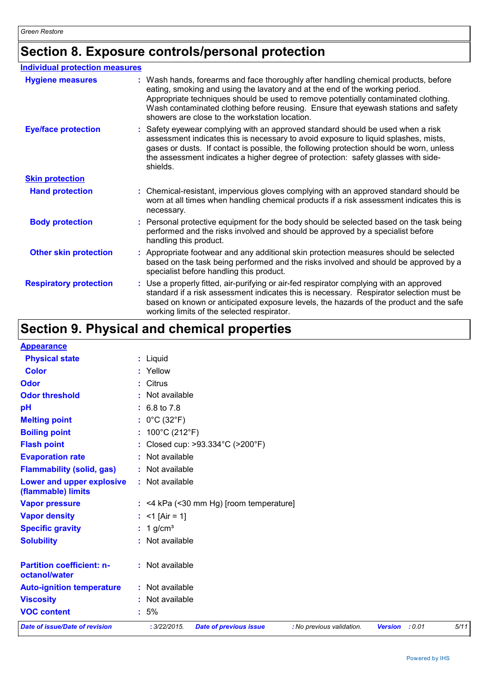### **Section 8. Exposure controls/personal protection**

| <b>Individual protection measures</b> |                                                                                                                                                                                                                                                                                                                                                                                                   |
|---------------------------------------|---------------------------------------------------------------------------------------------------------------------------------------------------------------------------------------------------------------------------------------------------------------------------------------------------------------------------------------------------------------------------------------------------|
| <b>Hygiene measures</b>               | : Wash hands, forearms and face thoroughly after handling chemical products, before<br>eating, smoking and using the lavatory and at the end of the working period.<br>Appropriate techniques should be used to remove potentially contaminated clothing.<br>Wash contaminated clothing before reusing. Ensure that eyewash stations and safety<br>showers are close to the workstation location. |
| <b>Eye/face protection</b>            | : Safety eyewear complying with an approved standard should be used when a risk<br>assessment indicates this is necessary to avoid exposure to liquid splashes, mists,<br>gases or dusts. If contact is possible, the following protection should be worn, unless<br>the assessment indicates a higher degree of protection: safety glasses with side-<br>shields.                                |
| <b>Skin protection</b>                |                                                                                                                                                                                                                                                                                                                                                                                                   |
| <b>Hand protection</b>                | : Chemical-resistant, impervious gloves complying with an approved standard should be<br>worn at all times when handling chemical products if a risk assessment indicates this is<br>necessary.                                                                                                                                                                                                   |
| <b>Body protection</b>                | : Personal protective equipment for the body should be selected based on the task being<br>performed and the risks involved and should be approved by a specialist before<br>handling this product.                                                                                                                                                                                               |
| <b>Other skin protection</b>          | : Appropriate footwear and any additional skin protection measures should be selected<br>based on the task being performed and the risks involved and should be approved by a<br>specialist before handling this product.                                                                                                                                                                         |
| <b>Respiratory protection</b>         | : Use a properly fitted, air-purifying or air-fed respirator complying with an approved<br>standard if a risk assessment indicates this is necessary. Respirator selection must be<br>based on known or anticipated exposure levels, the hazards of the product and the safe<br>working limits of the selected respirator.                                                                        |

### **Section 9. Physical and chemical properties**

#### **Appearance**

| <b>Physical state</b>                             | : Liquid                             |                                                       |                           |                |        |      |
|---------------------------------------------------|--------------------------------------|-------------------------------------------------------|---------------------------|----------------|--------|------|
| <b>Color</b>                                      | : Yellow                             |                                                       |                           |                |        |      |
| Odor                                              | : Citrus                             |                                                       |                           |                |        |      |
| <b>Odor threshold</b>                             | : Not available                      |                                                       |                           |                |        |      |
| pH                                                | $: 6.8 \text{ to } 7.8$              |                                                       |                           |                |        |      |
| <b>Melting point</b>                              | : $0^{\circ}$ C (32 $^{\circ}$ F)    |                                                       |                           |                |        |      |
| <b>Boiling point</b>                              | : $100^{\circ}$ C (212 $^{\circ}$ F) |                                                       |                           |                |        |      |
| <b>Flash point</b>                                |                                      | : Closed cup: $>93.334^{\circ}$ C ( $>200^{\circ}$ F) |                           |                |        |      |
| <b>Evaporation rate</b>                           | : Not available                      |                                                       |                           |                |        |      |
| <b>Flammability (solid, gas)</b>                  | : Not available                      |                                                       |                           |                |        |      |
| Lower and upper explosive<br>(flammable) limits   | : Not available                      |                                                       |                           |                |        |      |
| <b>Vapor pressure</b>                             |                                      | $:$ <4 kPa (<30 mm Hg) [room temperature]             |                           |                |        |      |
| <b>Vapor density</b>                              | : $<$ 1 [Air = 1]                    |                                                       |                           |                |        |      |
| <b>Specific gravity</b>                           | $: 1$ g/cm <sup>3</sup>              |                                                       |                           |                |        |      |
| <b>Solubility</b>                                 | : Not available                      |                                                       |                           |                |        |      |
| <b>Partition coefficient: n-</b><br>octanol/water | : Not available                      |                                                       |                           |                |        |      |
| <b>Auto-ignition temperature</b>                  | : Not available                      |                                                       |                           |                |        |      |
| <b>Viscosity</b>                                  | : Not available                      |                                                       |                           |                |        |      |
| <b>VOC content</b>                                | $:5\%$                               |                                                       |                           |                |        |      |
| <b>Date of issue/Date of revision</b>             | : 3/22/2015.                         | <b>Date of previous issue</b>                         | : No previous validation. | <b>Version</b> | : 0.01 | 5/11 |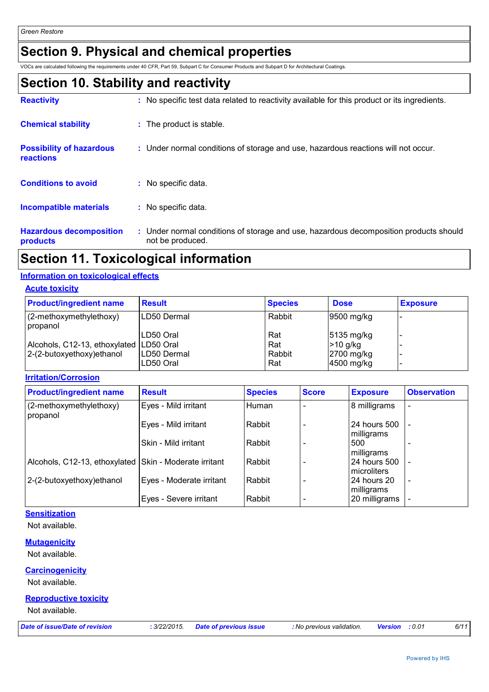### **Section 9. Physical and chemical properties**

VOCs are calculated following the requirements under 40 CFR, Part 59, Subpart C for Consumer Products and Subpart D for Architectural Coatings.

### **Section 10. Stability and reactivity**

| <b>Reactivity</b>                                   | : No specific test data related to reactivity available for this product or its ingredients.              |
|-----------------------------------------------------|-----------------------------------------------------------------------------------------------------------|
| <b>Chemical stability</b>                           | : The product is stable.                                                                                  |
| <b>Possibility of hazardous</b><br><b>reactions</b> | : Under normal conditions of storage and use, hazardous reactions will not occur.                         |
| <b>Conditions to avoid</b>                          | : No specific data.                                                                                       |
| <b>Incompatible materials</b>                       | : No specific data.                                                                                       |
| <b>Hazardous decomposition</b><br>products          | : Under normal conditions of storage and use, hazardous decomposition products should<br>not be produced. |

### **Section 11. Toxicological information**

#### **Information on toxicological effects**

**Acute toxicity**

| <b>Product/ingredient name</b>            | <b>Result</b> | <b>Species</b> | <b>Dose</b>            | <b>Exposure</b> |
|-------------------------------------------|---------------|----------------|------------------------|-----------------|
| (2-methoxymethylethoxy)<br>propanol       | LD50 Dermal   | Rabbit         | $ 9500 \text{ mg/kg} $ |                 |
|                                           | LD50 Oral     | Rat            | 5135 mg/kg             |                 |
| Alcohols, C12-13, ethoxylated   LD50 Oral |               | Rat            | $>10$ g/kg             |                 |
| 2-(2-butoxyethoxy) ethanol                | LD50 Dermal   | Rabbit         | 2700 mg/kg             |                 |
|                                           | LD50 Oral     | Rat            | $ 4500 \text{ mg/kg} $ |                 |

**Irritation/Corrosion**

| <b>Product/ingredient name</b>                         | <b>Result</b>            | <b>Species</b> | <b>Score</b> | <b>Exposure</b>                      | <b>Observation</b>       |
|--------------------------------------------------------|--------------------------|----------------|--------------|--------------------------------------|--------------------------|
| (2-methoxymethylethoxy)<br>propanol                    | Eyes - Mild irritant     | Human          |              | 8 milligrams                         | $\overline{\phantom{0}}$ |
|                                                        | Eyes - Mild irritant     | Rabbit         |              | 24 hours 500<br>milligrams           | $\overline{a}$           |
|                                                        | Skin - Mild irritant     | Rabbit         |              | 500<br>milligrams                    |                          |
| Alcohols, C12-13, ethoxylated Skin - Moderate irritant |                          | Rabbit         |              | 24 hours 500<br><b>I</b> microliters | $\overline{\phantom{a}}$ |
| 2-(2-butoxyethoxy) ethanol                             | Eyes - Moderate irritant | Rabbit         |              | 24 hours 20<br>milligrams            | $\blacksquare$           |
|                                                        | Eyes - Severe irritant   | Rabbit         |              | 20 milligrams                        |                          |

#### **Sensitization**

Not available.

#### **Mutagenicity**

Not available.

#### **Carcinogenicity**

Not available.

#### **Reproductive toxicity**

Not available.

*Date of issue/Date of revision* **:** *3/22/2015. Date of previous issue : No previous validation. Version : 0.01 6/11*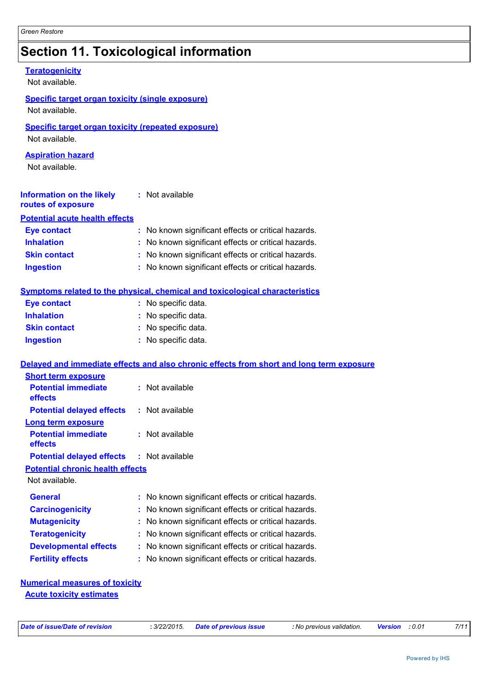## **Section 11. Toxicological information**

| <b>Teratogenicity</b><br>Not available.                                     |                                                                                          |
|-----------------------------------------------------------------------------|------------------------------------------------------------------------------------------|
| <b>Specific target organ toxicity (single exposure)</b><br>Not available.   |                                                                                          |
| <b>Specific target organ toxicity (repeated exposure)</b><br>Not available. |                                                                                          |
| <b>Aspiration hazard</b><br>Not available.                                  |                                                                                          |
| <b>Information on the likely</b><br>routes of exposure                      | : Not available                                                                          |
| <b>Potential acute health effects</b>                                       |                                                                                          |
| <b>Eye contact</b>                                                          | : No known significant effects or critical hazards.                                      |
| <b>Inhalation</b>                                                           | No known significant effects or critical hazards.                                        |
| <b>Skin contact</b>                                                         | : No known significant effects or critical hazards.                                      |
| <b>Ingestion</b>                                                            | No known significant effects or critical hazards.                                        |
|                                                                             | Symptoms related to the physical, chemical and toxicological characteristics             |
| <b>Eye contact</b>                                                          | : No specific data.                                                                      |
| <b>Inhalation</b>                                                           | : No specific data.                                                                      |
| <b>Skin contact</b>                                                         | : No specific data.                                                                      |
| <b>Ingestion</b>                                                            | : No specific data.                                                                      |
|                                                                             | Delayed and immediate effects and also chronic effects from short and long term exposure |
| <b>Short term exposure</b>                                                  |                                                                                          |
| <b>Potential immediate</b><br>effects                                       | : Not available                                                                          |
| <b>Potential delayed effects</b>                                            | : Not available                                                                          |
| <b>Long term exposure</b>                                                   |                                                                                          |
| <b>Potential immediate</b><br>effects                                       | : Not available                                                                          |
| <b>Potential delayed effects</b>                                            | : Not available                                                                          |
| <b>Potential chronic health effects</b>                                     |                                                                                          |
| Not available.                                                              |                                                                                          |
| <b>General</b>                                                              | No known significant effects or critical hazards.                                        |
| <b>Carcinogenicity</b>                                                      | No known significant effects or critical hazards.                                        |
| <b>Mutagenicity</b>                                                         | No known significant effects or critical hazards.                                        |
| <b>Teratogenicity</b>                                                       | No known significant effects or critical hazards.<br>÷.                                  |
| <b>Developmental effects</b>                                                | No known significant effects or critical hazards.<br>÷.                                  |
| <b>Fertility effects</b>                                                    | No known significant effects or critical hazards.                                        |
| <b>Numerical measures of toxicity</b>                                       |                                                                                          |

**Acute toxicity estimates**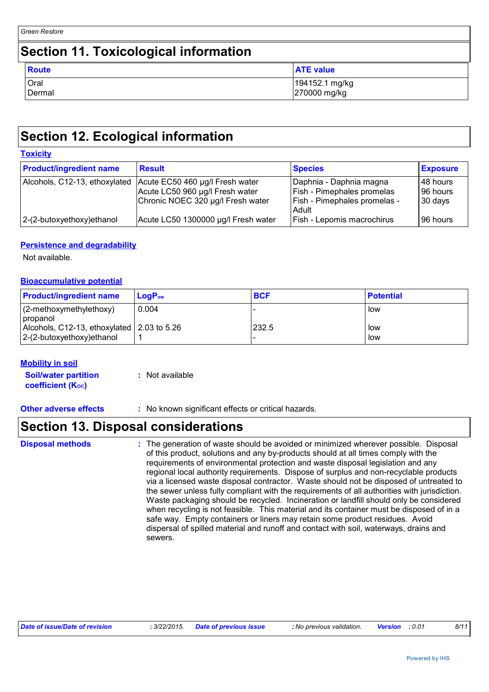### **Section 11. Toxicological information**

| <b>Route</b> | <b>ATE value</b> |
|--------------|------------------|
| Oral         | 194152.1 mg/kg   |
| Dermal       | 270000 mg/kg     |

### **Section 12. Ecological information**

| <b>Toxicity</b>                |                                                                                                         |                                                                                                |                                 |  |  |  |
|--------------------------------|---------------------------------------------------------------------------------------------------------|------------------------------------------------------------------------------------------------|---------------------------------|--|--|--|
| <b>Product/ingredient name</b> | <b>Result</b>                                                                                           | <b>Species</b>                                                                                 | <b>Exposure</b>                 |  |  |  |
| Alcohols, C12-13, ethoxylated  | Acute EC50 460 µg/l Fresh water<br>Acute LC50 960 µg/l Fresh water<br>Chronic NOEC 320 µg/l Fresh water | Daphnia - Daphnia magna<br>Fish - Pimephales promelas<br>Fish - Pimephales promelas -<br>Adult | 48 hours<br>96 hours<br>30 days |  |  |  |
| 2-(2-butoxyethoxy)ethanol      | Acute LC50 1300000 µg/l Fresh water                                                                     | Fish - Lepomis macrochirus                                                                     | 96 hours                        |  |  |  |

#### **Persistence and degradability**

Not available.

#### **Bioaccumulative potential**

| <b>Product/ingredient name</b>                                             | ⊺LoɑP <sub>ow</sub> | <b>BCF</b> | <b>Potential</b> |
|----------------------------------------------------------------------------|---------------------|------------|------------------|
| $(2-methoxymethylethoxy)$<br>propanol                                      | 0.004               |            | l low            |
| Alcohols, C12-13, ethoxylated 2.03 to 5.26<br>$ 2-(2-butoxyethoxy)ethanol$ |                     | 232.5      | l low<br>l low   |

#### **Mobility in soil**

**Soil/water partition coefficient (KOC) :** Not available

**Other adverse effects** : No known significant effects or critical hazards.

### **Section 13. Disposal considerations**

| <b>Disposal methods</b> | : The generation of waste should be avoided or minimized wherever possible. Disposal<br>of this product, solutions and any by-products should at all times comply with the<br>requirements of environmental protection and waste disposal legislation and any<br>regional local authority requirements. Dispose of surplus and non-recyclable products<br>via a licensed waste disposal contractor. Waste should not be disposed of untreated to<br>the sewer unless fully compliant with the requirements of all authorities with jurisdiction.<br>Waste packaging should be recycled. Incineration or landfill should only be considered<br>when recycling is not feasible. This material and its container must be disposed of in a<br>safe way. Empty containers or liners may retain some product residues. Avoid<br>dispersal of spilled material and runoff and contact with soil, waterways, drains and<br>sewers. |
|-------------------------|----------------------------------------------------------------------------------------------------------------------------------------------------------------------------------------------------------------------------------------------------------------------------------------------------------------------------------------------------------------------------------------------------------------------------------------------------------------------------------------------------------------------------------------------------------------------------------------------------------------------------------------------------------------------------------------------------------------------------------------------------------------------------------------------------------------------------------------------------------------------------------------------------------------------------|
|-------------------------|----------------------------------------------------------------------------------------------------------------------------------------------------------------------------------------------------------------------------------------------------------------------------------------------------------------------------------------------------------------------------------------------------------------------------------------------------------------------------------------------------------------------------------------------------------------------------------------------------------------------------------------------------------------------------------------------------------------------------------------------------------------------------------------------------------------------------------------------------------------------------------------------------------------------------|

| Date of issue/Date of revision | : 3/22/2015 Date of previous issue | : No previous validation. | <b>Version</b> :0.01 | 8/11 |
|--------------------------------|------------------------------------|---------------------------|----------------------|------|
|                                |                                    |                           |                      |      |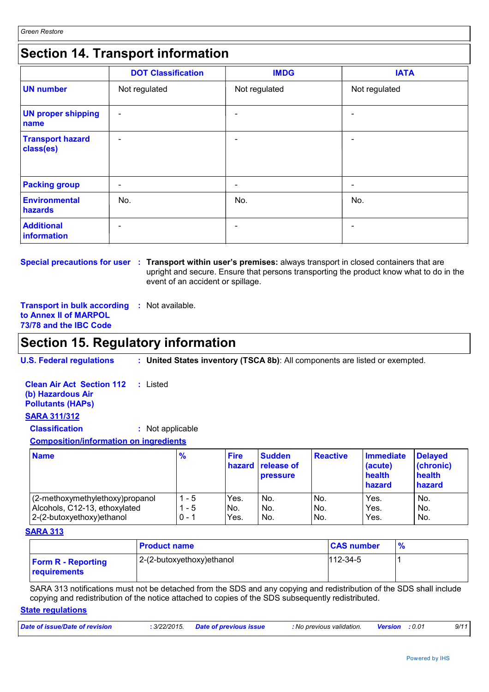### **Section 14. Transport information**

|                                      | <b>DOT Classification</b> | <b>IMDG</b>              | <b>IATA</b>              |
|--------------------------------------|---------------------------|--------------------------|--------------------------|
| <b>UN number</b>                     | Not regulated             | Not regulated            | Not regulated            |
| <b>UN proper shipping</b><br>name    | $\overline{\phantom{a}}$  |                          | $\overline{\phantom{0}}$ |
| <b>Transport hazard</b><br>class(es) | $\overline{\phantom{a}}$  | $\overline{\phantom{0}}$ | $\overline{\phantom{0}}$ |
| <b>Packing group</b>                 | $\overline{\phantom{a}}$  | $\overline{\phantom{0}}$ | $\overline{\phantom{a}}$ |
| Environmental<br>hazards             | No.                       | No.                      | No.                      |
| <b>Additional</b><br>information     | $\overline{\phantom{a}}$  |                          | $\overline{\phantom{0}}$ |

**Special precautions for user** : Transport within user's premises: always transport in closed containers that are upright and secure. Ensure that persons transporting the product know what to do in the event of an accident or spillage.

**Transport in bulk according :** Not available. **to Annex II of MARPOL 73/78 and the IBC Code**

### **Section 15. Regulatory information**

**U.S. Federal regulations : United States inventory (TSCA 8b)**: All components are listed or exempted.

**Clean Air Act Section 112 (b) Hazardous Air Pollutants (HAPs) :** Listed **SARA 311/312**

**Classification :** Not applicable

**Composition/information on ingredients**

| <b>Name</b>                     | $\frac{9}{6}$ | <b>Fire</b> | <b>Sudden</b><br>hazard release of<br><b>pressure</b> | <b>Reactive</b> | Immediate<br>(acute)<br>health<br><b>hazard</b> | <b>Delayed</b><br>(chronic)<br>health<br>hazard |
|---------------------------------|---------------|-------------|-------------------------------------------------------|-----------------|-------------------------------------------------|-------------------------------------------------|
| (2-methoxymethylethoxy)propanol | - 5           | Yes.        | No.                                                   | No.             | Yes.                                            | No.                                             |
| Alcohols, C12-13, ethoxylated   | - 5           | No.         | No.                                                   | No.             | Yes.                                            | No.                                             |
| 2-(2-butoxyethoxy) ethanol      | $0 - 1$       | Yes.        | No.                                                   | No.             | Yes.                                            | No.                                             |

#### **SARA 313**

|                                                  | <b>Product name</b>       | <b>CAS number</b> | $\frac{9}{6}$ |
|--------------------------------------------------|---------------------------|-------------------|---------------|
| <b>Form R - Reporting</b><br><b>requirements</b> | 2-(2-butoxyethoxy)ethanol | $112 - 34 - 5$    |               |

SARA 313 notifications must not be detached from the SDS and any copying and redistribution of the SDS shall include copying and redistribution of the notice attached to copies of the SDS subsequently redistributed.

#### **State regulations**

| Date of issue/Date of revision | 3/22/2015. | <b>Date of previous issue</b> | : No previous validation. | <b>Version</b> : 0.01 | 9/11 |
|--------------------------------|------------|-------------------------------|---------------------------|-----------------------|------|
|                                |            |                               |                           |                       |      |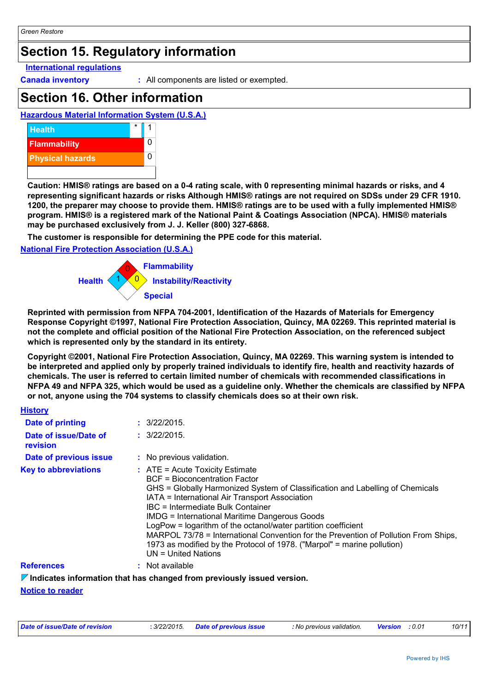### **Section 15. Regulatory information**

#### **International regulations**

**Canada inventory :** All components are listed or exempted.

### **Section 16. Other information**

#### **Hazardous Material Information System (U.S.A.)**



**Caution: HMIS® ratings are based on a 0-4 rating scale, with 0 representing minimal hazards or risks, and 4 representing significant hazards or risks Although HMIS® ratings are not required on SDSs under 29 CFR 1910. 1200, the preparer may choose to provide them. HMIS® ratings are to be used with a fully implemented HMIS® program. HMIS® is a registered mark of the National Paint & Coatings Association (NPCA). HMIS® materials may be purchased exclusively from J. J. Keller (800) 327-6868.**

**The customer is responsible for determining the PPE code for this material.**

#### **National Fire Protection Association (U.S.A.)**



**Reprinted with permission from NFPA 704-2001, Identification of the Hazards of Materials for Emergency Response Copyright ©1997, National Fire Protection Association, Quincy, MA 02269. This reprinted material is not the complete and official position of the National Fire Protection Association, on the referenced subject which is represented only by the standard in its entirety.**

**Copyright ©2001, National Fire Protection Association, Quincy, MA 02269. This warning system is intended to be interpreted and applied only by properly trained individuals to identify fire, health and reactivity hazards of chemicals. The user is referred to certain limited number of chemicals with recommended classifications in NFPA 49 and NFPA 325, which would be used as a guideline only. Whether the chemicals are classified by NFPA or not, anyone using the 704 systems to classify chemicals does so at their own risk.**

#### **History**

| Date of printing                  | $\div$ 3/22/2015.                                                                                                                                                                                                                                                                                                                                                                                                                                                                                                                                                              |  |
|-----------------------------------|--------------------------------------------------------------------------------------------------------------------------------------------------------------------------------------------------------------------------------------------------------------------------------------------------------------------------------------------------------------------------------------------------------------------------------------------------------------------------------------------------------------------------------------------------------------------------------|--|
| Date of issue/Date of<br>revision | : 3/22/2015.                                                                                                                                                                                                                                                                                                                                                                                                                                                                                                                                                                   |  |
| Date of previous issue            | : No previous validation.                                                                                                                                                                                                                                                                                                                                                                                                                                                                                                                                                      |  |
| <b>Key to abbreviations</b>       | $\therefore$ ATE = Acute Toxicity Estimate<br><b>BCF</b> = Bioconcentration Factor<br>GHS = Globally Harmonized System of Classification and Labelling of Chemicals<br>IATA = International Air Transport Association<br>IBC = Intermediate Bulk Container<br><b>IMDG = International Maritime Dangerous Goods</b><br>LogPow = logarithm of the octanol/water partition coefficient<br>MARPOL 73/78 = International Convention for the Prevention of Pollution From Ships,<br>1973 as modified by the Protocol of 1978. ("Marpol" = marine pollution)<br>$UN = United Nations$ |  |
| <b>References</b>                 | : Not available                                                                                                                                                                                                                                                                                                                                                                                                                                                                                                                                                                |  |

#### **Indicates information that has changed from previously issued version.**

**Notice to reader**

| Date of issue/Date of revision | : 3/22/2015 Date of previous issue | : No previous validation. | <b>Version :</b> 0.01 | 10/11 |
|--------------------------------|------------------------------------|---------------------------|-----------------------|-------|
|                                |                                    |                           |                       |       |